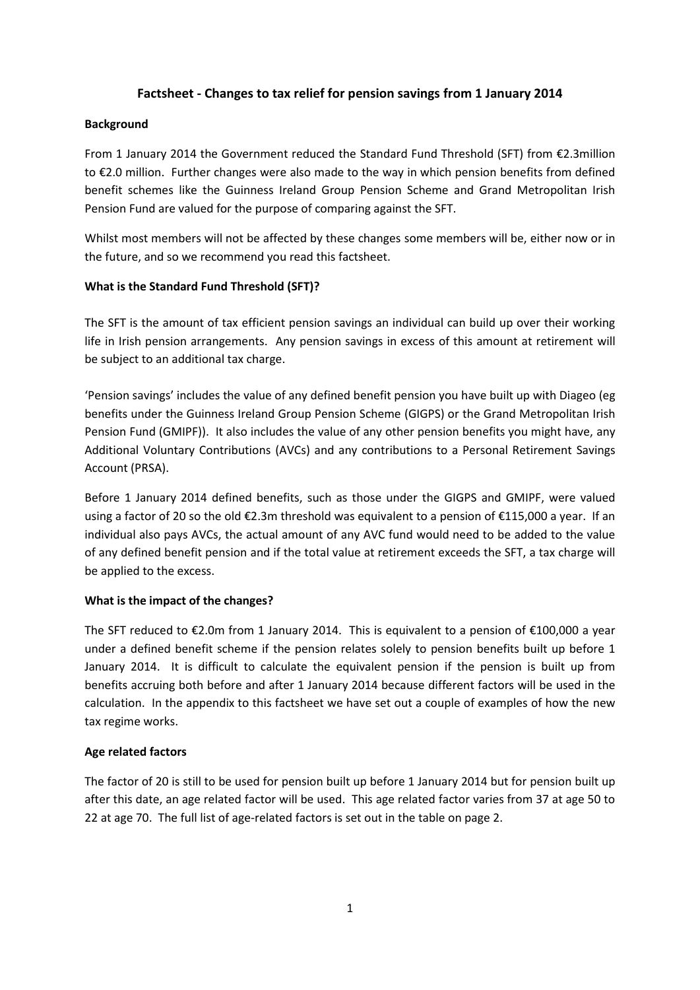# **Factsheet - Changes to tax relief for pension savings from 1 January 2014**

#### **Background**

From 1 January 2014 the Government reduced the Standard Fund Threshold (SFT) from €2.3million to €2.0 million. Further changes were also made to the way in which pension benefits from defined benefit schemes like the Guinness Ireland Group Pension Scheme and Grand Metropolitan Irish Pension Fund are valued for the purpose of comparing against the SFT.

Whilst most members will not be affected by these changes some members will be, either now or in the future, and so we recommend you read this factsheet.

### **What is the Standard Fund Threshold (SFT)?**

The SFT is the amount of tax efficient pension savings an individual can build up over their working life in Irish pension arrangements. Any pension savings in excess of this amount at retirement will be subject to an additional tax charge.

'Pension savings' includes the value of any defined benefit pension you have built up with Diageo (eg benefits under the Guinness Ireland Group Pension Scheme (GIGPS) or the Grand Metropolitan Irish Pension Fund (GMIPF)). It also includes the value of any other pension benefits you might have, any Additional Voluntary Contributions (AVCs) and any contributions to a Personal Retirement Savings Account (PRSA).

Before 1 January 2014 defined benefits, such as those under the GIGPS and GMIPF, were valued using a factor of 20 so the old €2.3m threshold was equivalent to a pension of €115,000 a year. If an individual also pays AVCs, the actual amount of any AVC fund would need to be added to the value of any defined benefit pension and if the total value at retirement exceeds the SFT, a tax charge will be applied to the excess.

### **What is the impact of the changes?**

The SFT reduced to €2.0m from 1 January 2014. This is equivalent to a pension of €100,000 a year under a defined benefit scheme if the pension relates solely to pension benefits built up before 1 January 2014. It is difficult to calculate the equivalent pension if the pension is built up from benefits accruing both before and after 1 January 2014 because different factors will be used in the calculation. In the appendix to this factsheet we have set out a couple of examples of how the new tax regime works.

### **Age related factors**

The factor of 20 is still to be used for pension built up before 1 January 2014 but for pension built up after this date, an age related factor will be used. This age related factor varies from 37 at age 50 to 22 at age 70. The full list of age-related factors is set out in the table on page 2.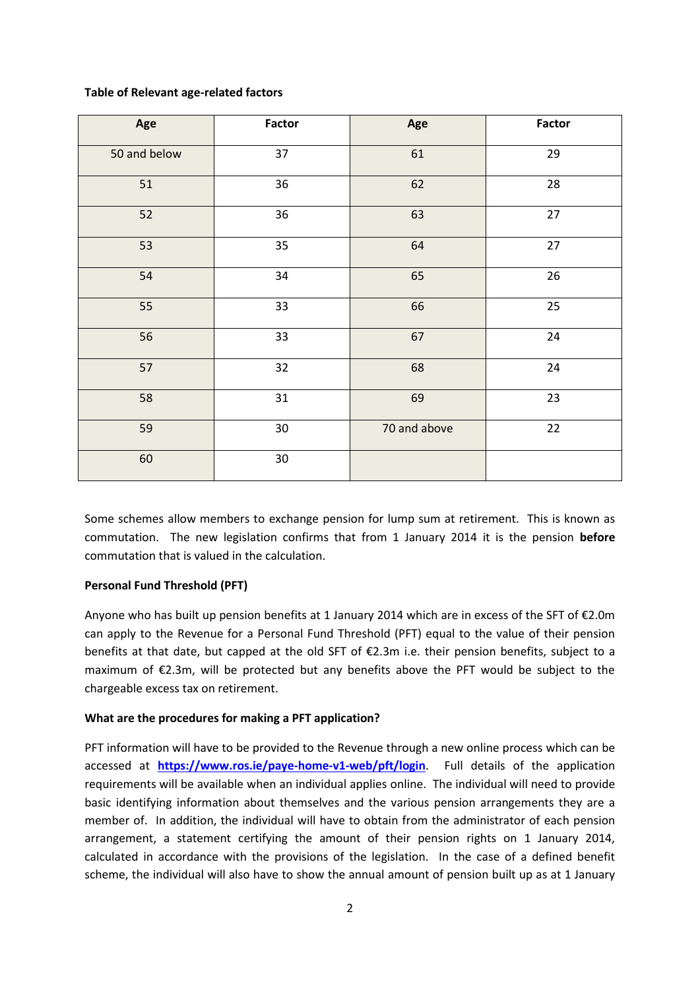#### **Table of Relevant age-related factors**

| Age          | Factor | Age          | Factor |
|--------------|--------|--------------|--------|
| 50 and below | 37     | 61           | 29     |
| 51           | 36     | 62           | 28     |
| 52           | 36     | 63           | 27     |
| 53           | 35     | 64           | 27     |
| 54           | 34     | 65           | 26     |
| 55           | 33     | 66           | 25     |
| 56           | 33     | 67           | 24     |
| 57           | 32     | 68           | 24     |
| 58           | 31     | 69           | 23     |
| 59           | 30     | 70 and above | 22     |
| 60           | 30     |              |        |

Some schemes allow members to exchange pension for lump sum at retirement. This is known as commutation. The new legislation confirms that from 1 January 2014 it is the pension **before** commutation that is valued in the calculation.

### **Personal Fund Threshold (PFT)**

Anyone who has built up pension benefits at 1 January 2014 which are in excess of the SFT of €2.0m can apply to the Revenue for a Personal Fund Threshold (PFT) equal to the value of their pension benefits at that date, but capped at the old SFT of €2.3m i.e. their pension benefits, subject to a maximum of €2.3m, will be protected but any benefits above the PFT would be subject to the chargeable excess tax on retirement.

### **What are the procedures for making a PFT application?**

PFT information will have to be provided to the Revenue through a new online process which can be accessed at **<https://www.ros.ie/paye-home-v1-web/pft/login>**. Full details of the application requirements will be available when an individual applies online. The individual will need to provide basic identifying information about themselves and the various pension arrangements they are a member of. In addition, the individual will have to obtain from the administrator of each pension arrangement, a statement certifying the amount of their pension rights on 1 January 2014, calculated in accordance with the provisions of the legislation. In the case of a defined benefit scheme, the individual will also have to show the annual amount of pension built up as at 1 January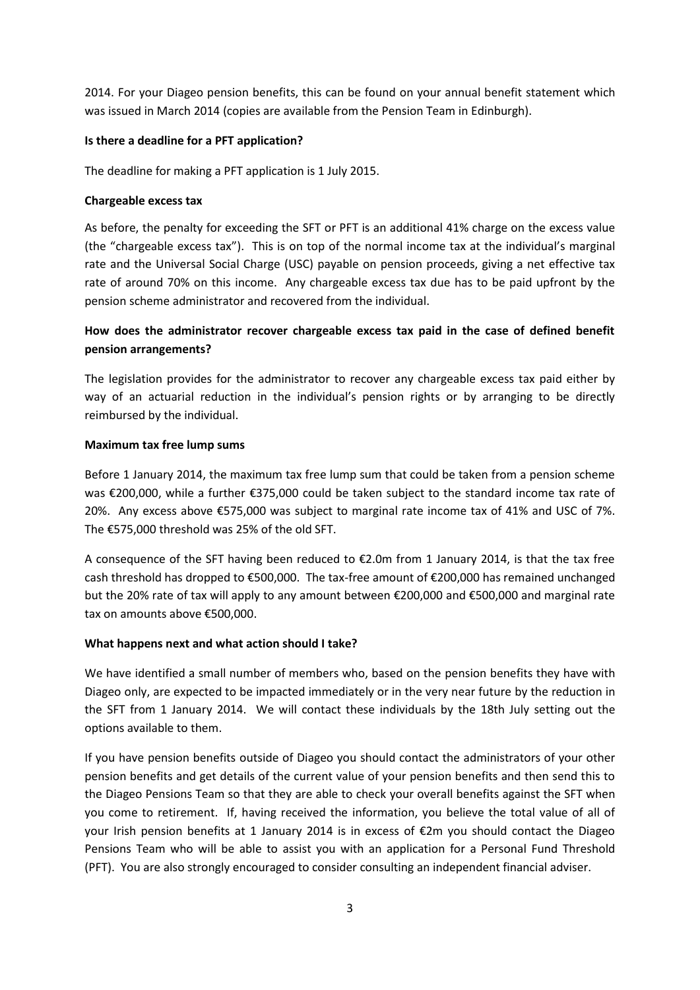2014. For your Diageo pension benefits, this can be found on your annual benefit statement which was issued in March 2014 (copies are available from the Pension Team in Edinburgh).

# **Is there a deadline for a PFT application?**

The deadline for making a PFT application is 1 July 2015.

# **Chargeable excess tax**

As before, the penalty for exceeding the SFT or PFT is an additional 41% charge on the excess value (the "chargeable excess tax"). This is on top of the normal income tax at the individual's marginal rate and the Universal Social Charge (USC) payable on pension proceeds, giving a net effective tax rate of around 70% on this income. Any chargeable excess tax due has to be paid upfront by the pension scheme administrator and recovered from the individual.

# **How does the administrator recover chargeable excess tax paid in the case of defined benefit pension arrangements?**

The legislation provides for the administrator to recover any chargeable excess tax paid either by way of an actuarial reduction in the individual's pension rights or by arranging to be directly reimbursed by the individual.

# **Maximum tax free lump sums**

Before 1 January 2014, the maximum tax free lump sum that could be taken from a pension scheme was €200,000, while a further €375,000 could be taken subject to the standard income tax rate of 20%. Any excess above €575,000 was subject to marginal rate income tax of 41% and USC of 7%. The €575,000 threshold was 25% of the old SFT.

A consequence of the SFT having been reduced to  $\epsilon$ 2.0m from 1 January 2014, is that the tax free cash threshold has dropped to €500,000. The tax-free amount of €200,000 has remained unchanged but the 20% rate of tax will apply to any amount between €200,000 and €500,000 and marginal rate tax on amounts above €500,000.

# **What happens next and what action should I take?**

We have identified a small number of members who, based on the pension benefits they have with Diageo only, are expected to be impacted immediately or in the very near future by the reduction in the SFT from 1 January 2014. We will contact these individuals by the 18th July setting out the options available to them.

If you have pension benefits outside of Diageo you should contact the administrators of your other pension benefits and get details of the current value of your pension benefits and then send this to the Diageo Pensions Team so that they are able to check your overall benefits against the SFT when you come to retirement. If, having received the information, you believe the total value of all of your Irish pension benefits at 1 January 2014 is in excess of  $\epsilon$ 2m you should contact the Diageo Pensions Team who will be able to assist you with an application for a Personal Fund Threshold (PFT). You are also strongly encouraged to consider consulting an independent financial adviser.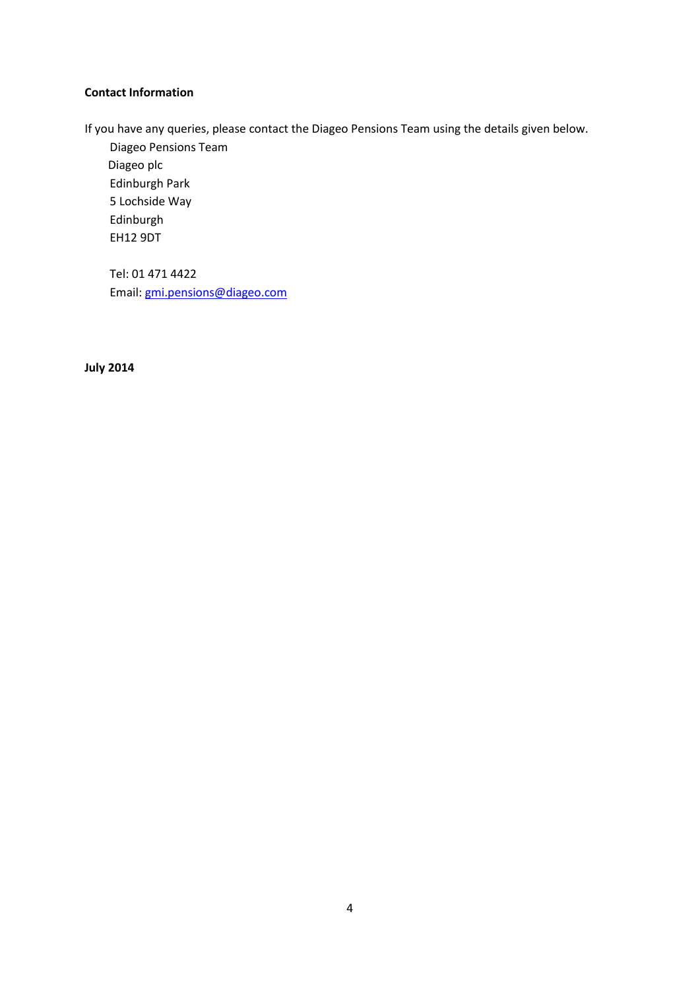### **Contact Information**

If you have any queries, please contact the Diageo Pensions Team using the details given below.

Diageo Pensions Team Diageo plc Edinburgh Park 5 Lochside Way Edinburgh EH12 9DT

Tel: 01 471 4422 Email: [gmi.pensions@diageo.com](mailto:gmi.pensions@diageo.com)

**July 2014**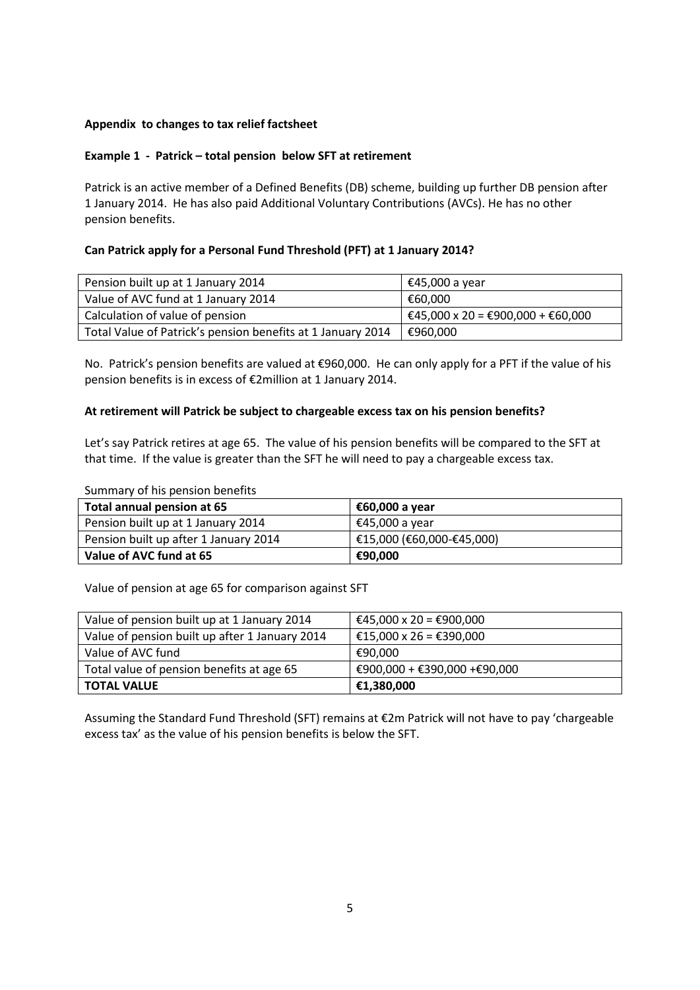# **Appendix to changes to tax relief factsheet**

# **Example 1 - Patrick – total pension below SFT at retirement**

Patrick is an active member of a Defined Benefits (DB) scheme, building up further DB pension after 1 January 2014. He has also paid Additional Voluntary Contributions (AVCs). He has no other pension benefits.

# **Can Patrick apply for a Personal Fund Threshold (PFT) at 1 January 2014?**

| Pension built up at 1 January 2014                          | €45,000 a year                    |
|-------------------------------------------------------------|-----------------------------------|
| Value of AVC fund at 1 January 2014                         | €60.000                           |
| Calculation of value of pension                             | €45,000 x 20 = €900,000 + €60,000 |
| Total Value of Patrick's pension benefits at 1 January 2014 | €960,000                          |

No. Patrick's pension benefits are valued at €960,000. He can only apply for a PFT if the value of his pension benefits is in excess of €2million at 1 January 2014.

### **At retirement will Patrick be subject to chargeable excess tax on his pension benefits?**

Let's say Patrick retires at age 65. The value of his pension benefits will be compared to the SFT at that time. If the value is greater than the SFT he will need to pay a chargeable excess tax.

Summary of his pension benefits

| Total annual pension at 65            | €60,000 a year            |
|---------------------------------------|---------------------------|
| Pension built up at 1 January 2014    | €45,000 a year            |
| Pension built up after 1 January 2014 | €15,000 (€60,000-€45,000) |
| Value of AVC fund at 65               | €90,000                   |

Value of pension at age 65 for comparison against SFT

| Value of pension built up at 1 January 2014    | €45,000 x 20 = €900,000       |
|------------------------------------------------|-------------------------------|
| Value of pension built up after 1 January 2014 | €15,000 x 26 = €390,000       |
| Value of AVC fund                              | €90.000                       |
| Total value of pension benefits at age 65      | €900,000 + €390,000 + €90,000 |
| TOTAL VALUE                                    | €1,380,000                    |

Assuming the Standard Fund Threshold (SFT) remains at €2m Patrick will not have to pay 'chargeable excess tax' as the value of his pension benefits is below the SFT.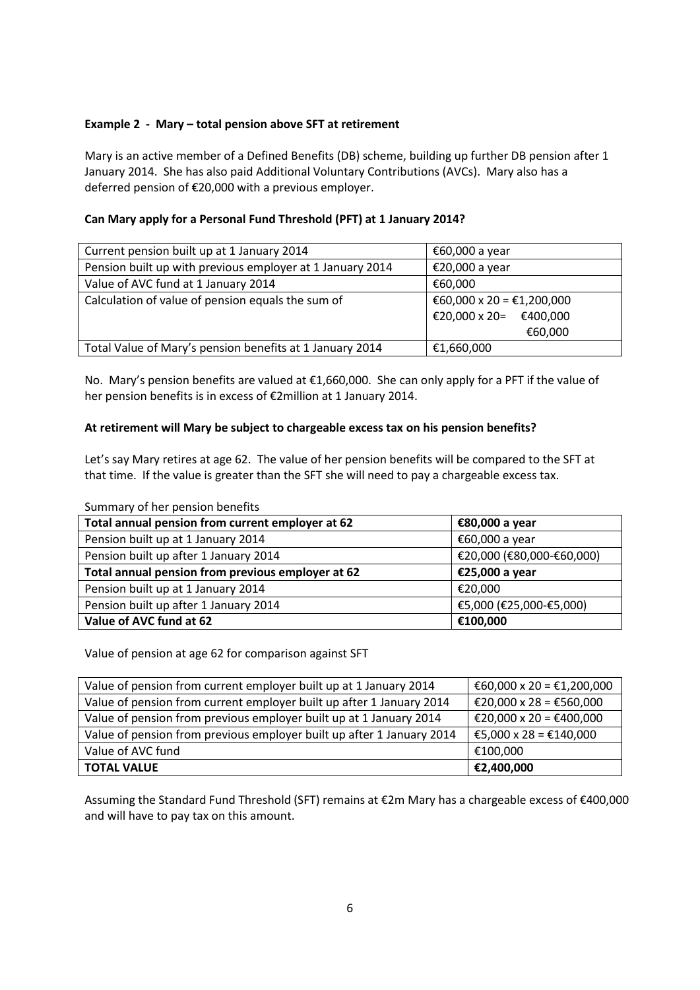# **Example 2 - Mary – total pension above SFT at retirement**

Mary is an active member of a Defined Benefits (DB) scheme, building up further DB pension after 1 January 2014. She has also paid Additional Voluntary Contributions (AVCs). Mary also has a deferred pension of €20,000 with a previous employer.

# **Can Mary apply for a Personal Fund Threshold (PFT) at 1 January 2014?**

| Current pension built up at 1 January 2014                | €60,000 a year            |  |
|-----------------------------------------------------------|---------------------------|--|
| Pension built up with previous employer at 1 January 2014 | €20,000 a year            |  |
| Value of AVC fund at 1 January 2014                       | €60,000                   |  |
| Calculation of value of pension equals the sum of         | €60,000 x 20 = €1,200,000 |  |
|                                                           | €20,000 x 20= €400,000    |  |
|                                                           | €60,000                   |  |
| Total Value of Mary's pension benefits at 1 January 2014  | €1,660,000                |  |

No. Mary's pension benefits are valued at €1,660,000. She can only apply for a PFT if the value of her pension benefits is in excess of €2million at 1 January 2014.

# **At retirement will Mary be subject to chargeable excess tax on his pension benefits?**

Let's say Mary retires at age 62. The value of her pension benefits will be compared to the SFT at that time. If the value is greater than the SFT she will need to pay a chargeable excess tax.

| Total annual pension from current employer at 62  | €80,000 a year            |
|---------------------------------------------------|---------------------------|
| Pension built up at 1 January 2014                | €60,000 a year            |
| Pension built up after 1 January 2014             | €20,000 (€80,000-€60,000) |
| Total annual pension from previous employer at 62 | €25,000 a year            |
| Pension built up at 1 January 2014                | €20,000                   |
| Pension built up after 1 January 2014             | €5,000 (€25,000-€5,000)   |
| Value of AVC fund at 62                           | €100,000                  |

Summary of her pension benefits

Value of pension at age 62 for comparison against SFT

| Value of pension from current employer built up at 1 January 2014     | €60,000 x 20 = €1,200,000                                |
|-----------------------------------------------------------------------|----------------------------------------------------------|
| Value of pension from current employer built up after 1 January 2014  | $\text{\pounds}20,000 \times 28 = \text{\pounds}560,000$ |
| Value of pension from previous employer built up at 1 January 2014    | €20,000 x 20 = €400,000                                  |
| Value of pension from previous employer built up after 1 January 2014 | $\textsf{E}$ €5,000 x 28 = €140,000                      |
| Value of AVC fund                                                     | €100.000                                                 |
| <b>TOTAL VALUE</b>                                                    | €2,400,000                                               |

Assuming the Standard Fund Threshold (SFT) remains at €2m Mary has a chargeable excess of €400,000 and will have to pay tax on this amount.